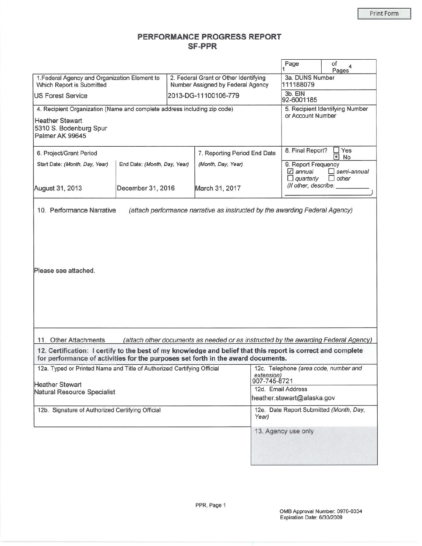## PERFORMANCE PROGRESS REPORT **SF-PPR**

|                                                                                                                                                                                                  |                              |                                                                                    | Page                                                | of<br>Pages <sup>4</sup>           |  |
|--------------------------------------------------------------------------------------------------------------------------------------------------------------------------------------------------|------------------------------|------------------------------------------------------------------------------------|-----------------------------------------------------|------------------------------------|--|
| 1. Federal Agency and Organization Element to<br>Which Report is Submitted                                                                                                                       |                              | 2. Federal Grant or Other Identifying<br>Number Assigned by Federal Agency         |                                                     | 3a. DUNS Number<br>111188079       |  |
| <b>IUS Forest Service</b>                                                                                                                                                                        |                              | 2013-DG-11100106-779                                                               |                                                     |                                    |  |
| 4. Recipient Organization (Name and complete address including zip code)<br><b>Heather Stewart</b><br>5310 S. Bodenburg Spur<br>Palmer AK 99645                                                  |                              |                                                                                    | or Account Number                                   | 5. Recipient Identifying Number    |  |
| 6. Project/Grant Period                                                                                                                                                                          |                              | 7. Reporting Period End Date                                                       | 8. Final Report?                                    | Yes<br>$\bullet$<br><b>No</b>      |  |
| Start Date: (Month, Day, Year)                                                                                                                                                                   | End Date: (Month, Day, Year) |                                                                                    | 9. Report Frequency<br>$\angle$ annual<br>quarterly | $\Box$ semi-annual<br>$\Box$ other |  |
| December 31, 2016<br>August 31, 2013                                                                                                                                                             |                              | March 31, 2017                                                                     | (If other, describe:                                |                                    |  |
| 10. Performance Narrative                                                                                                                                                                        |                              | (attach performance narrative as instructed by the awarding Federal Agency)        |                                                     |                                    |  |
| Please see attached.                                                                                                                                                                             |                              |                                                                                    |                                                     |                                    |  |
| 11. Other Attachments                                                                                                                                                                            |                              | (attach other documents as needed or as instructed by the awarding Federal Agency) |                                                     |                                    |  |
| 12. Certification: I certify to the best of my knowledge and belief that this report is correct and complete<br>for performance of activities for the purposes set forth in the award documents. |                              |                                                                                    |                                                     |                                    |  |
| 12a. Typed or Printed Name and Title of Authorized Certifying Official                                                                                                                           |                              | extension)<br>907-745-8721                                                         | 12c. Telephone (area code, number and               |                                    |  |
| <b>Heather Stewart</b><br>Natural Resource Specialist                                                                                                                                            |                              | 12d. Email Address                                                                 |                                                     |                                    |  |
|                                                                                                                                                                                                  |                              | heather.stewart@alaska.gov                                                         |                                                     |                                    |  |
| 12b. Signature of Authorized Certifying Official                                                                                                                                                 |                              | Year)                                                                              | 12e. Date Report Submitted (Month, Day,             |                                    |  |
|                                                                                                                                                                                                  |                              |                                                                                    | 13. Agency use only                                 |                                    |  |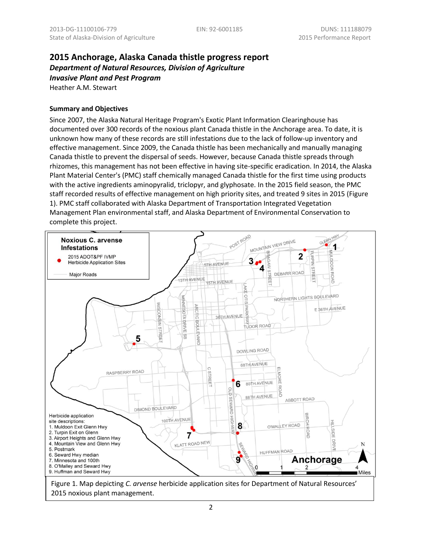# **2015 Anchorage, Alaska Canada thistle progress report** *Department of Natural Resources, Division of Agriculture Invasive Plant and Pest Program*

Heather A.M. Stewart

#### **Summary and Objectives**

Since 2007, the Alaska Natural Heritage Program's Exotic Plant Information Clearinghouse has documented over 300 records of the noxious plant Canada thistle in the Anchorage area. To date, it is unknown how many of these records are still infestations due to the lack of follow-up inventory and effective management. Since 2009, the Canada thistle has been mechanically and manually managing Canada thistle to prevent the dispersal of seeds. However, because Canada thistle spreads through rhizomes, this management has not been effective in having site-specific eradication. In 2014, the Alaska Plant Material Center's (PMC) staff chemically managed Canada thistle for the first time using products with the active ingredients aminopyralid, triclopyr, and glyphosate. In the 2015 field season, the PMC staff recorded results of effective management on high priority sites, and treated 9 sites in 2015 (Figure 1). PMC staff collaborated with Alaska Department of Transportation Integrated Vegetation Management Plan environmental staff, and Alaska Department of Environmental Conservation to complete this project.



2015 noxious plant management.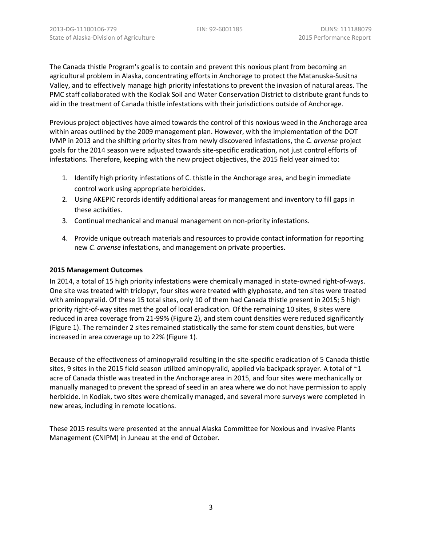The Canada thistle Program's goal is to contain and prevent this noxious plant from becoming an agricultural problem in Alaska, concentrating efforts in Anchorage to protect the Matanuska-Susitna Valley, and to effectively manage high priority infestations to prevent the invasion of natural areas. The PMC staff collaborated with the Kodiak Soil and Water Conservation District to distribute grant funds to aid in the treatment of Canada thistle infestations with their jurisdictions outside of Anchorage.

Previous project objectives have aimed towards the control of this noxious weed in the Anchorage area within areas outlined by the 2009 management plan. However, with the implementation of the DOT IVMP in 2013 and the shifting priority sites from newly discovered infestations, the *C. arvense* project goals for the 2014 season were adjusted towards site-specific eradication, not just control efforts of infestations. Therefore, keeping with the new project objectives, the 2015 field year aimed to:

- 1. Identify high priority infestations of C. thistle in the Anchorage area, and begin immediate control work using appropriate herbicides.
- 2. Using AKEPIC records identify additional areas for management and inventory to fill gaps in these activities.
- 3. Continual mechanical and manual management on non-priority infestations.
- 4. Provide unique outreach materials and resources to provide contact information for reporting new *C. arvense* infestations, and management on private properties.

#### **2015 Management Outcomes**

In 2014, a total of 15 high priority infestations were chemically managed in state-owned right-of-ways. One site was treated with triclopyr, four sites were treated with glyphosate, and ten sites were treated with aminopyralid. Of these 15 total sites, only 10 of them had Canada thistle present in 2015; 5 high priority right-of-way sites met the goal of local eradication. Of the remaining 10 sites, 8 sites were reduced in area coverage from 21-99% (Figure 2), and stem count densities were reduced significantly (Figure 1). The remainder 2 sites remained statistically the same for stem count densities, but were increased in area coverage up to 22% (Figure 1).

Because of the effectiveness of aminopyralid resulting in the site-specific eradication of 5 Canada thistle sites, 9 sites in the 2015 field season utilized aminopyralid, applied via backpack sprayer. A total of  $\sim 1$ acre of Canada thistle was treated in the Anchorage area in 2015, and four sites were mechanically or manually managed to prevent the spread of seed in an area where we do not have permission to apply herbicide. In Kodiak, two sites were chemically managed, and several more surveys were completed in new areas, including in remote locations.

These 2015 results were presented at the annual Alaska Committee for Noxious and Invasive Plants Management (CNIPM) in Juneau at the end of October.